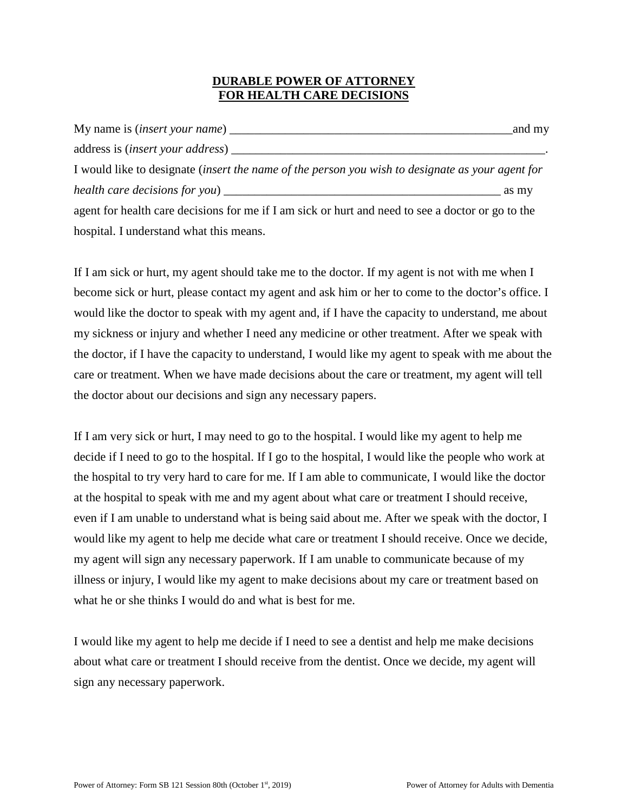### **DURABLE POWER OF ATTORNEY FOR HEALTH CARE DECISIONS**

|                                                                                                   | and my |
|---------------------------------------------------------------------------------------------------|--------|
|                                                                                                   |        |
| I would like to designate (insert the name of the person you wish to designate as your agent for  |        |
|                                                                                                   | as my  |
| agent for health care decisions for me if I am sick or hurt and need to see a doctor or go to the |        |
| hospital. I understand what this means.                                                           |        |

If I am sick or hurt, my agent should take me to the doctor. If my agent is not with me when I become sick or hurt, please contact my agent and ask him or her to come to the doctor's office. I would like the doctor to speak with my agent and, if I have the capacity to understand, me about my sickness or injury and whether I need any medicine or other treatment. After we speak with the doctor, if I have the capacity to understand, I would like my agent to speak with me about the care or treatment. When we have made decisions about the care or treatment, my agent will tell the doctor about our decisions and sign any necessary papers.

If I am very sick or hurt, I may need to go to the hospital. I would like my agent to help me decide if I need to go to the hospital. If I go to the hospital, I would like the people who work at the hospital to try very hard to care for me. If I am able to communicate, I would like the doctor at the hospital to speak with me and my agent about what care or treatment I should receive, even if I am unable to understand what is being said about me. After we speak with the doctor, I would like my agent to help me decide what care or treatment I should receive. Once we decide, my agent will sign any necessary paperwork. If I am unable to communicate because of my illness or injury, I would like my agent to make decisions about my care or treatment based on what he or she thinks I would do and what is best for me.

I would like my agent to help me decide if I need to see a dentist and help me make decisions about what care or treatment I should receive from the dentist. Once we decide, my agent will sign any necessary paperwork.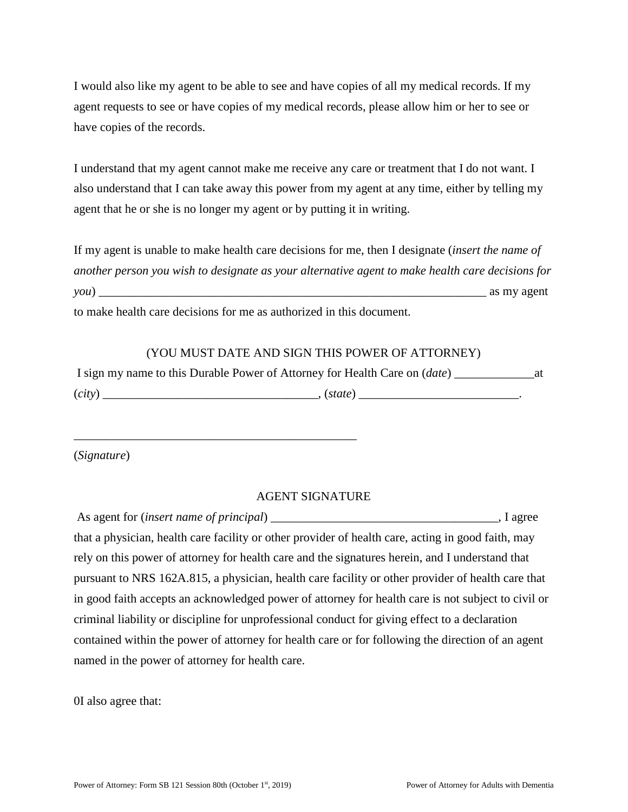I would also like my agent to be able to see and have copies of all my medical records. If my agent requests to see or have copies of my medical records, please allow him or her to see or have copies of the records.

I understand that my agent cannot make me receive any care or treatment that I do not want. I also understand that I can take away this power from my agent at any time, either by telling my agent that he or she is no longer my agent or by putting it in writing.

If my agent is unable to make health care decisions for me, then I designate (*insert the name of another person you wish to designate as your alternative agent to make health care decisions for you*) \_\_\_\_\_\_\_\_\_\_\_\_\_\_\_\_\_\_\_\_\_\_\_\_\_\_\_\_\_\_\_\_\_\_\_\_\_\_\_\_\_\_\_\_\_\_\_\_\_\_\_\_\_\_\_\_\_\_\_\_\_\_\_ as my agent to make health care decisions for me as authorized in this document.

### (YOU MUST DATE AND SIGN THIS POWER OF ATTORNEY)

|        | I sign my name to this Durable Power of Attorney for Health Care on (date) |  |
|--------|----------------------------------------------------------------------------|--|
| (city) | (state)                                                                    |  |

\_\_\_\_\_\_\_\_\_\_\_\_\_\_\_\_\_\_\_\_\_\_\_\_\_\_\_\_\_\_\_\_\_\_\_\_\_\_\_\_\_\_\_\_\_\_

(*Signature*)

### AGENT SIGNATURE

| As agent for <i>(insert name of principal)</i>                                                     | $\Box$ , I agree |
|----------------------------------------------------------------------------------------------------|------------------|
| that a physician, health care facility or other provider of health care, acting in good faith, may |                  |
| rely on this power of attorney for health care and the signatures herein, and I understand that    |                  |
| pursuant to NRS 162A.815, a physician, health care facility or other provider of health care that  |                  |
| in good faith accepts an acknowledged power of attorney for health care is not subject to civil or |                  |
| criminal liability or discipline for unprofessional conduct for giving effect to a declaration     |                  |
| contained within the power of attorney for health care or for following the direction of an agent  |                  |
| named in the power of attorney for health care.                                                    |                  |

0I also agree that: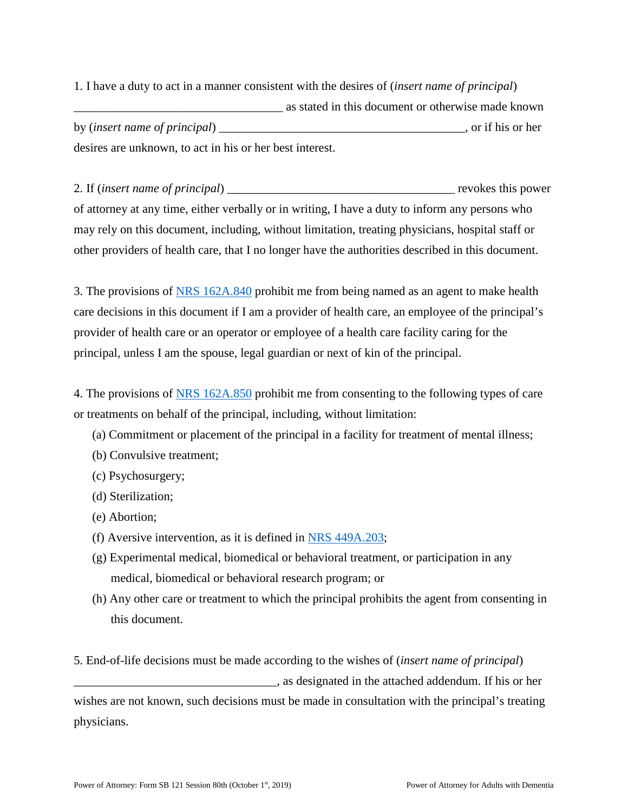1. I have a duty to act in a manner consistent with the desires of (*insert name of principal*) \_\_\_\_\_\_\_\_\_\_\_\_\_\_\_\_\_\_\_\_\_\_\_\_\_\_\_\_\_\_\_\_\_\_ as stated in this document or otherwise made known by (*insert name of principal*) \_\_\_\_\_\_\_\_\_\_\_\_\_\_\_\_\_\_\_\_\_\_\_\_\_\_\_\_\_\_\_\_\_\_\_\_\_\_\_\_, or if his or her desires are unknown, to act in his or her best interest.

2. If (*insert name of principal*) \_\_\_\_\_\_\_\_\_\_\_\_\_\_\_\_\_\_\_\_\_\_\_\_\_\_\_\_\_\_\_\_\_\_\_\_\_ revokes this power of attorney at any time, either verbally or in writing, I have a duty to inform any persons who may rely on this document, including, without limitation, treating physicians, hospital staff or other providers of health care, that I no longer have the authorities described in this document.

3. The provisions of [NRS 162A.840](http://www.westlaw.com/Link/Document/FullText?findType=L&pubNum=1000363&cite=NVST162A.840&originatingDoc=NE8F41CC1C93611E9B603A14D40335536&refType=LQ&originationContext=document&vr=3.0&rs=cblt1.0&transitionType=DocumentItem&contextData=(sc.RelatedInfo)) prohibit me from being named as an agent to make health care decisions in this document if I am a provider of health care, an employee of the principal's provider of health care or an operator or employee of a health care facility caring for the principal, unless I am the spouse, legal guardian or next of kin of the principal.

4. The provisions of [NRS 162A.850](http://www.westlaw.com/Link/Document/FullText?findType=L&pubNum=1000363&cite=NVST162A.850&originatingDoc=NE8F41CC1C93611E9B603A14D40335536&refType=LQ&originationContext=document&vr=3.0&rs=cblt1.0&transitionType=DocumentItem&contextData=(sc.RelatedInfo)) prohibit me from consenting to the following types of care or treatments on behalf of the principal, including, without limitation:

- (a) Commitment or placement of the principal in a facility for treatment of mental illness;
- (b) Convulsive treatment;
- (c) Psychosurgery;
- (d) Sterilization;
- (e) Abortion;
- (f) Aversive intervention, as it is defined in [NRS 449A.203;](http://www.westlaw.com/Link/Document/FullText?findType=L&pubNum=1000363&cite=NVST449A.203&originatingDoc=NE8F41CC1C93611E9B603A14D40335536&refType=LQ&originationContext=document&vr=3.0&rs=cblt1.0&transitionType=DocumentItem&contextData=(sc.RelatedInfo))
- (g) Experimental medical, biomedical or behavioral treatment, or participation in any medical, biomedical or behavioral research program; or
- (h) Any other care or treatment to which the principal prohibits the agent from consenting in this document.
- 5. End-of-life decisions must be made according to the wishes of (*insert name of principal*) \_\_\_\_\_\_\_\_\_\_\_\_\_\_\_\_\_\_\_\_\_\_\_\_\_\_\_\_\_\_\_\_\_, as designated in the attached addendum. If his or her wishes are not known, such decisions must be made in consultation with the principal's treating physicians.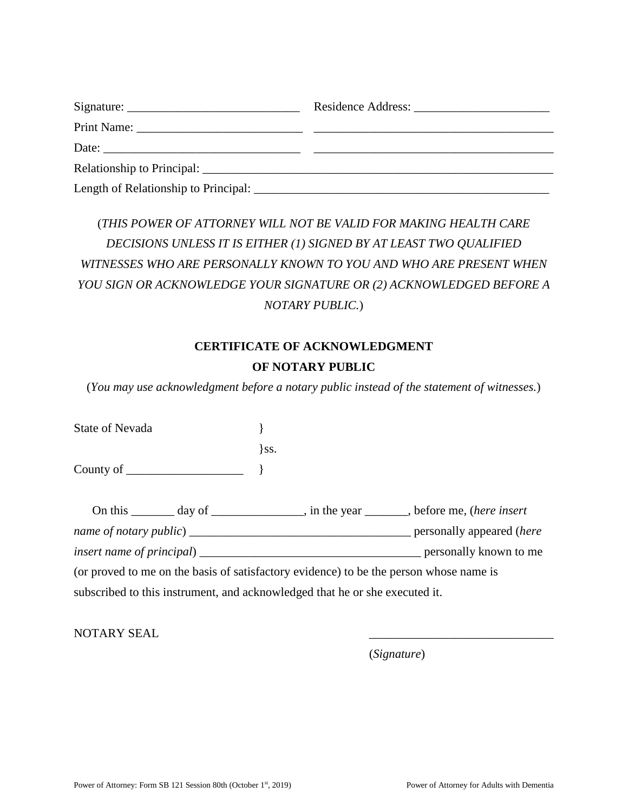| Date:                      |  |
|----------------------------|--|
| Relationship to Principal: |  |
|                            |  |

# (*THIS POWER OF ATTORNEY WILL NOT BE VALID FOR MAKING HEALTH CARE DECISIONS UNLESS IT IS EITHER (1) SIGNED BY AT LEAST TWO QUALIFIED WITNESSES WHO ARE PERSONALLY KNOWN TO YOU AND WHO ARE PRESENT WHEN YOU SIGN OR ACKNOWLEDGE YOUR SIGNATURE OR (2) ACKNOWLEDGED BEFORE A NOTARY PUBLIC.*)

# **CERTIFICATE OF ACKNOWLEDGMENT OF NOTARY PUBLIC**

(*You may use acknowledgment before a notary public instead of the statement of witnesses.*)

| State of Nevada                                                                                                                                                                                                                     |          |  |
|-------------------------------------------------------------------------------------------------------------------------------------------------------------------------------------------------------------------------------------|----------|--|
|                                                                                                                                                                                                                                     | $\}$ SS. |  |
| County of $\qquad \qquad$ }                                                                                                                                                                                                         |          |  |
|                                                                                                                                                                                                                                     |          |  |
| On this ________ day of ________________, in the year _______, before me, (here insert                                                                                                                                              |          |  |
|                                                                                                                                                                                                                                     |          |  |
| <i>insert name of principal</i> entertainment of the set of principal entertainment of the set of principal entertainment of the set of the set of the set of the set of the set of the set of the set of the set of the set of the |          |  |
| (or proved to me on the basis of satisfactory evidence) to be the person whose name is                                                                                                                                              |          |  |
| subscribed to this instrument, and acknowledged that he or she executed it.                                                                                                                                                         |          |  |

NOTARY SEAL

(*Signature*)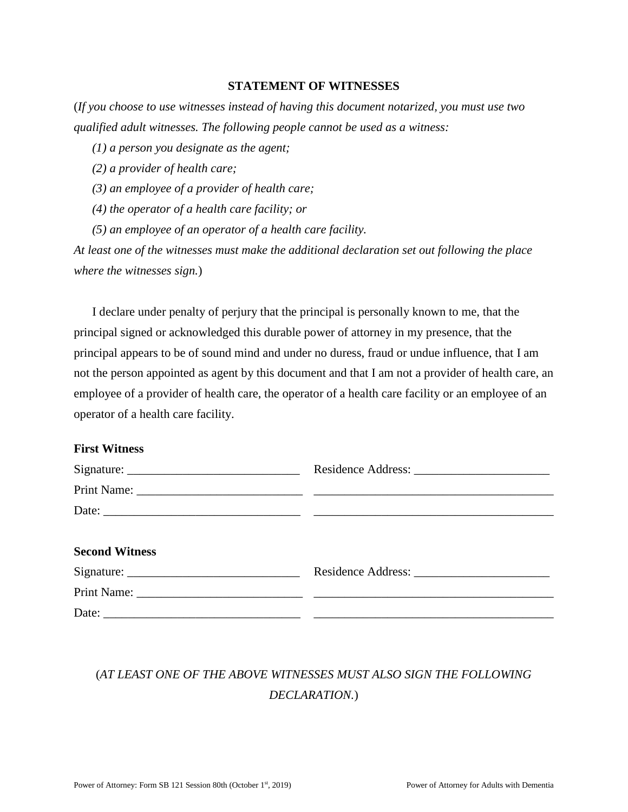#### **STATEMENT OF WITNESSES**

(*If you choose to use witnesses instead of having this document notarized, you must use two qualified adult witnesses. The following people cannot be used as a witness:* 

*(1) a person you designate as the agent;* 

*(2) a provider of health care;* 

*(3) an employee of a provider of health care;* 

*(4) the operator of a health care facility; or* 

*(5) an employee of an operator of a health care facility.* 

*At least one of the witnesses must make the additional declaration set out following the place where the witnesses sign.*)

I declare under penalty of perjury that the principal is personally known to me, that the principal signed or acknowledged this durable power of attorney in my presence, that the principal appears to be of sound mind and under no duress, fraud or undue influence, that I am not the person appointed as agent by this document and that I am not a provider of health care, an employee of a provider of health care, the operator of a health care facility or an employee of an operator of a health care facility.

### **First Witness**

| <b>Second Witness</b> |  |
|-----------------------|--|
|                       |  |
|                       |  |

# (*AT LEAST ONE OF THE ABOVE WITNESSES MUST ALSO SIGN THE FOLLOWING DECLARATION.*)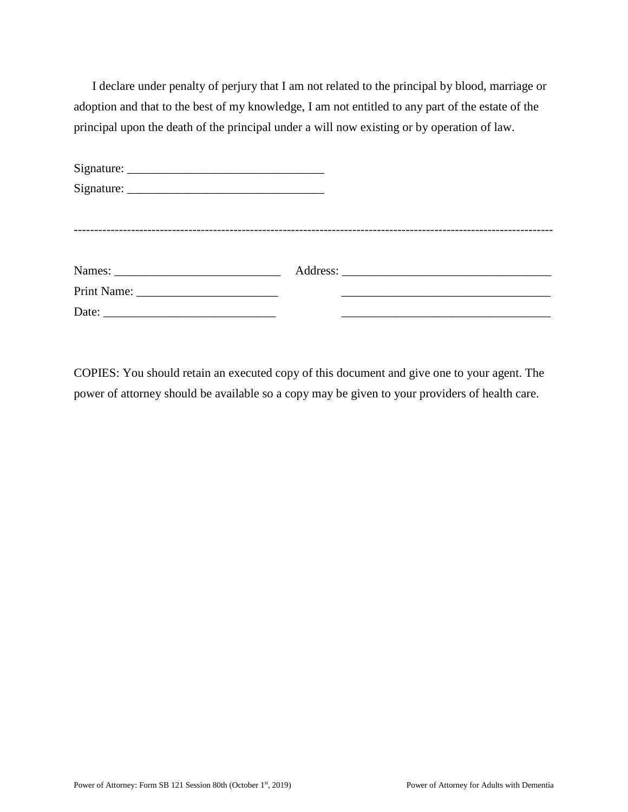I declare under penalty of perjury that I am not related to the principal by blood, marriage or adoption and that to the best of my knowledge, I am not entitled to any part of the estate of the principal upon the death of the principal under a will now existing or by operation of law.

COPIES: You should retain an executed copy of this document and give one to your agent. The power of attorney should be available so a copy may be given to your providers of health care.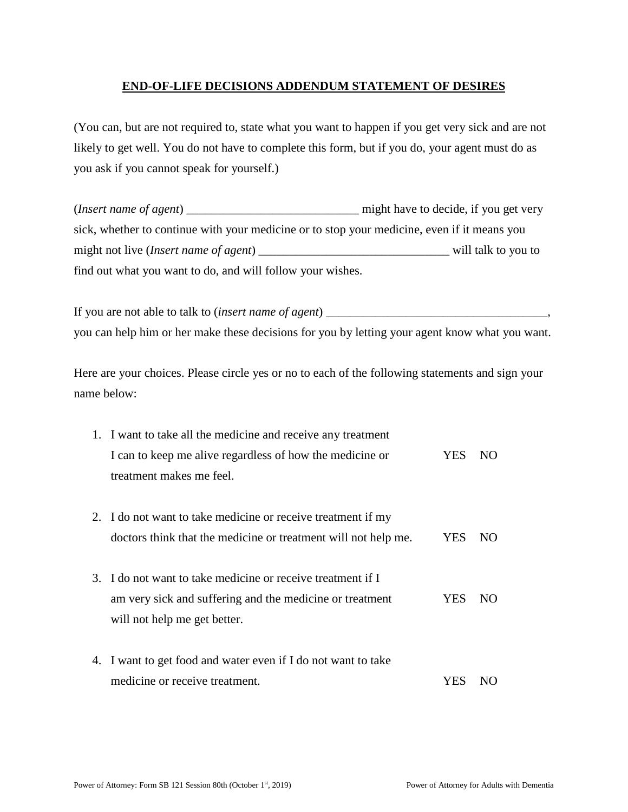## **END-OF-LIFE DECISIONS ADDENDUM STATEMENT OF DESIRES**

(You can, but are not required to, state what you want to happen if you get very sick and are not likely to get well. You do not have to complete this form, but if you do, your agent must do as you ask if you cannot speak for yourself.)

(*Insert name of agent*) \_\_\_\_\_\_\_\_\_\_\_\_\_\_\_\_\_\_\_\_\_\_\_\_\_\_\_\_ might have to decide, if you get very sick, whether to continue with your medicine or to stop your medicine, even if it means you might not live (*Insert name of agent*) \_\_\_\_\_\_\_\_\_\_\_\_\_\_\_\_\_\_\_\_\_\_\_\_\_\_\_\_\_\_\_ will talk to you to find out what you want to do, and will follow your wishes.

If you are not able to talk to (*insert name of agent*) \_\_\_\_\_\_\_\_\_\_\_\_\_\_\_\_\_\_\_\_\_\_\_\_\_\_\_\_\_\_\_\_\_\_\_\_, you can help him or her make these decisions for you by letting your agent know what you want.

Here are your choices. Please circle yes or no to each of the following statements and sign your name below:

| 1. I want to take all the medicine and receive any treatment   |            |     |
|----------------------------------------------------------------|------------|-----|
| I can to keep me alive regardless of how the medicine or       | YES.       | NO. |
| treatment makes me feel.                                       |            |     |
|                                                                |            |     |
| 2. I do not want to take medicine or receive treatment if my   |            |     |
| doctors think that the medicine or treatment will not help me. | <b>YES</b> | NO. |
|                                                                |            |     |
| 3. I do not want to take medicine or receive treatment if I    |            |     |
| am very sick and suffering and the medicine or treatment       | <b>YES</b> | NO. |
| will not help me get better.                                   |            |     |
|                                                                |            |     |
| 4. I want to get food and water even if I do not want to take  |            |     |
| medicine or receive treatment.                                 | Y ES       | N() |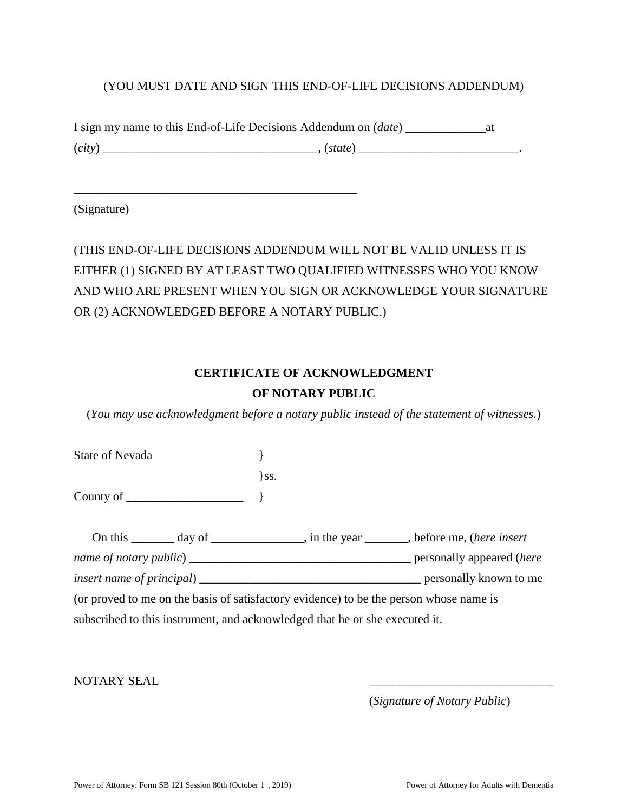# (YOU MUST DATE AND SIGN THIS END-OF-LIFE DECISIONS ADDENDUM)

|        | I sign my name to this End-of-Life Decisions Addendum on (date) |  |
|--------|-----------------------------------------------------------------|--|
| (city) | . (state)                                                       |  |

\_\_\_\_\_\_\_\_\_\_\_\_\_\_\_\_\_\_\_\_\_\_\_\_\_\_\_\_\_\_\_\_\_\_\_\_\_\_\_\_\_\_\_\_\_\_

(Signature)

(THIS END-OF-LIFE DECISIONS ADDENDUM WILL NOT BE VALID UNLESS IT IS EITHER (1) SIGNED BY AT LEAST TWO QUALIFIED WITNESSES WHO YOU KNOW AND WHO ARE PRESENT WHEN YOU SIGN OR ACKNOWLEDGE YOUR SIGNATURE OR (2) ACKNOWLEDGED BEFORE A NOTARY PUBLIC.)

# **CERTIFICATE OF ACKNOWLEDGMENT OF NOTARY PUBLIC**

(*You may use acknowledgment before a notary public instead of the statement of witnesses.*)

| State of Nevada             |      |                                                                             |                                                                                        |
|-----------------------------|------|-----------------------------------------------------------------------------|----------------------------------------------------------------------------------------|
|                             | \ss. |                                                                             |                                                                                        |
| County of $\qquad \qquad$ } |      |                                                                             |                                                                                        |
|                             |      |                                                                             | On this ________ day of _______________, in the year _______, before me, (here insert  |
|                             |      |                                                                             |                                                                                        |
|                             |      |                                                                             |                                                                                        |
|                             |      |                                                                             | (or proved to me on the basis of satisfactory evidence) to be the person whose name is |
|                             |      | subscribed to this instrument, and acknowledged that he or she executed it. |                                                                                        |

NOTARY SEAL

(*Signature of Notary Public*)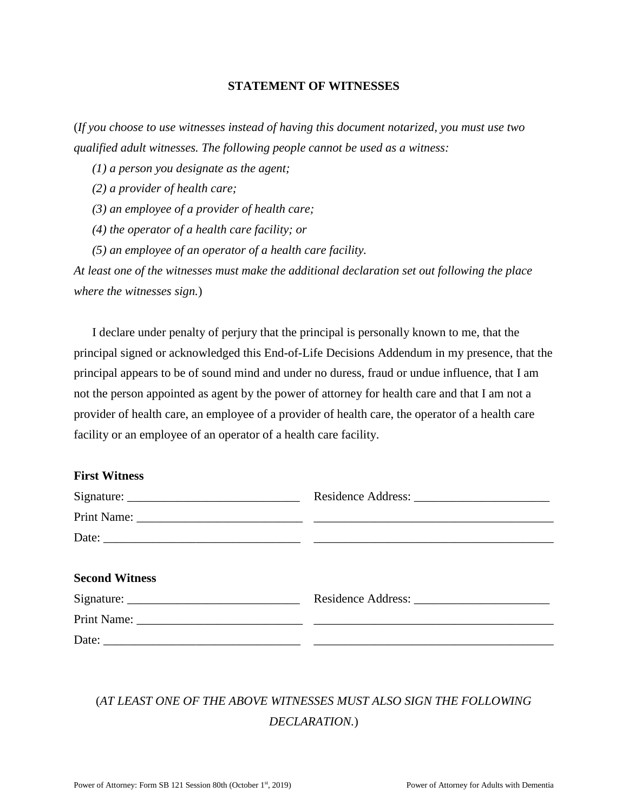#### **STATEMENT OF WITNESSES**

(*If you choose to use witnesses instead of having this document notarized, you must use two qualified adult witnesses. The following people cannot be used as a witness:* 

*(1) a person you designate as the agent;* 

*(2) a provider of health care;* 

*(3) an employee of a provider of health care;* 

*(4) the operator of a health care facility; or* 

*(5) an employee of an operator of a health care facility.* 

*At least one of the witnesses must make the additional declaration set out following the place where the witnesses sign.*)

I declare under penalty of perjury that the principal is personally known to me, that the principal signed or acknowledged this End-of-Life Decisions Addendum in my presence, that the principal appears to be of sound mind and under no duress, fraud or undue influence, that I am not the person appointed as agent by the power of attorney for health care and that I am not a provider of health care, an employee of a provider of health care, the operator of a health care facility or an employee of an operator of a health care facility.

### **First Witness**

| <b>Second Witness</b> |  |
|-----------------------|--|
|                       |  |
|                       |  |
|                       |  |

# (*AT LEAST ONE OF THE ABOVE WITNESSES MUST ALSO SIGN THE FOLLOWING DECLARATION.*)